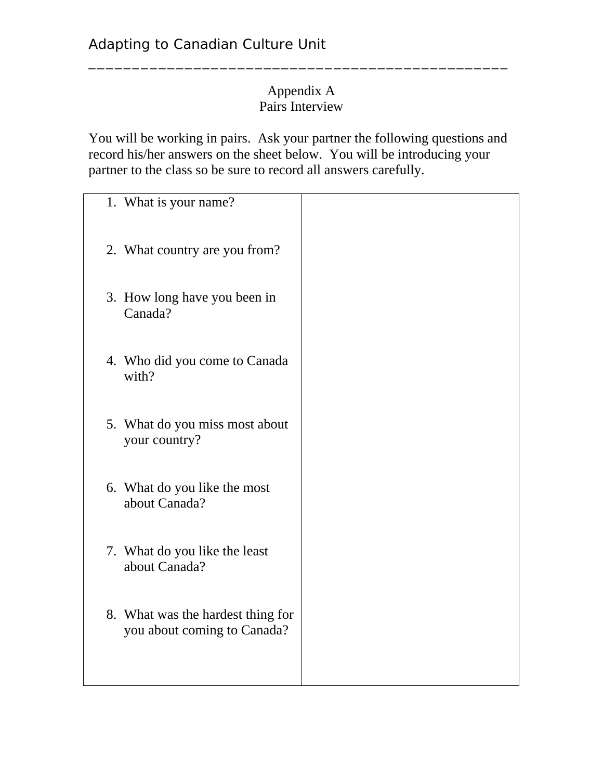## Appendix A Pairs Interview

\_\_\_\_\_\_\_\_\_\_\_\_\_\_\_\_\_\_\_\_\_\_\_\_\_\_\_\_\_\_\_\_\_\_\_\_\_\_\_\_\_\_\_\_\_\_\_\_

You will be working in pairs. Ask your partner the following questions and record his/her answers on the sheet below. You will be introducing your partner to the class so be sure to record all answers carefully.

| 1. What is your name?                                            |  |
|------------------------------------------------------------------|--|
| 2. What country are you from?                                    |  |
| 3. How long have you been in<br>Canada?                          |  |
| 4. Who did you come to Canada<br>with?                           |  |
| 5. What do you miss most about<br>your country?                  |  |
| 6. What do you like the most<br>about Canada?                    |  |
| 7. What do you like the least<br>about Canada?                   |  |
| 8. What was the hardest thing for<br>you about coming to Canada? |  |
|                                                                  |  |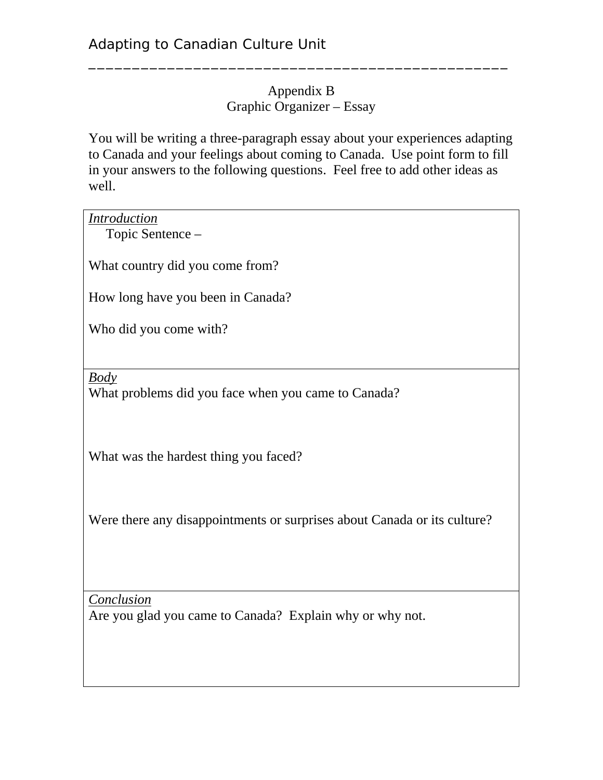## Appendix B Graphic Organizer – Essay

\_\_\_\_\_\_\_\_\_\_\_\_\_\_\_\_\_\_\_\_\_\_\_\_\_\_\_\_\_\_\_\_\_\_\_\_\_\_\_\_\_\_\_\_\_\_\_\_

You will be writing a three-paragraph essay about your experiences adapting to Canada and your feelings about coming to Canada. Use point form to fill in your answers to the following questions. Feel free to add other ideas as well.

| <b>Introduction</b><br>Topic Sentence -                                   |
|---------------------------------------------------------------------------|
| What country did you come from?                                           |
| How long have you been in Canada?                                         |
| Who did you come with?                                                    |
|                                                                           |
| $\underline{Body}$<br>What problems did you face when you came to Canada? |
| What was the hardest thing you faced?                                     |
| Were there any disappointments or surprises about Canada or its culture?  |
| Conclusion<br>Are you glad you came to Canada? Explain why or why not.    |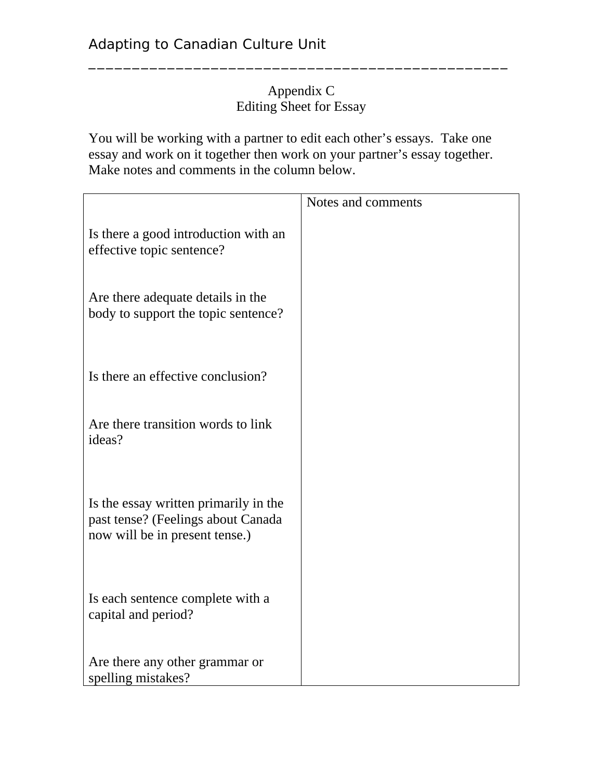## Appendix C Editing Sheet for Essay

\_\_\_\_\_\_\_\_\_\_\_\_\_\_\_\_\_\_\_\_\_\_\_\_\_\_\_\_\_\_\_\_\_\_\_\_\_\_\_\_\_\_\_\_\_\_\_\_

You will be working with a partner to edit each other's essays. Take one essay and work on it together then work on your partner's essay together. Make notes and comments in the column below.

|                                                                                                               | Notes and comments |
|---------------------------------------------------------------------------------------------------------------|--------------------|
| Is there a good introduction with an<br>effective topic sentence?                                             |                    |
| Are there adequate details in the<br>body to support the topic sentence?                                      |                    |
| Is there an effective conclusion?                                                                             |                    |
| Are there transition words to link<br>ideas?                                                                  |                    |
| Is the essay written primarily in the<br>past tense? (Feelings about Canada<br>now will be in present tense.) |                    |
| Is each sentence complete with a<br>capital and period?                                                       |                    |
| Are there any other grammar or<br>spelling mistakes?                                                          |                    |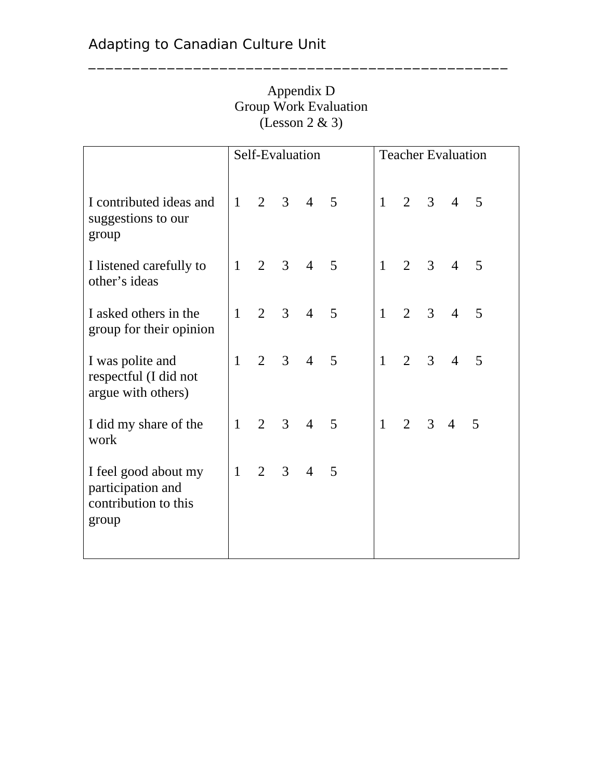|                                                                            | Self-Evaluation |                |                | <b>Teacher Evaluation</b> |   |              |                |                |                |   |  |
|----------------------------------------------------------------------------|-----------------|----------------|----------------|---------------------------|---|--------------|----------------|----------------|----------------|---|--|
| I contributed ideas and<br>suggestions to our<br>group                     | $\mathbf{1}$    | $\overline{2}$ | $\mathfrak{Z}$ | $\overline{4}$            | 5 | $\mathbf{1}$ | 2              | $\overline{3}$ | $\overline{4}$ | 5 |  |
| I listened carefully to<br>other's ideas                                   | $\mathbf{1}$    | $\overline{2}$ | $\overline{3}$ | $\overline{4}$            | 5 | $\mathbf{1}$ | $\overline{2}$ | 3              | $\overline{4}$ | 5 |  |
| I asked others in the<br>group for their opinion                           | $\mathbf{1}$    | $\overline{2}$ | 3              | $\overline{4}$            | 5 | $\mathbf{1}$ | $\overline{2}$ | $\overline{3}$ | $\overline{4}$ | 5 |  |
| I was polite and<br>respectful (I did not<br>argue with others)            | $\mathbf{1}$    | $\overline{2}$ | 3              | $\overline{4}$            | 5 | $\mathbf{1}$ | $\overline{2}$ | 3              | $\overline{4}$ | 5 |  |
| I did my share of the<br>work                                              | $\mathbf{1}$    | $\overline{2}$ | $\overline{3}$ | $\overline{4}$            | 5 | $\mathbf{1}$ | $\overline{2}$ | 3              | $\overline{4}$ | 5 |  |
| I feel good about my<br>participation and<br>contribution to this<br>group | $\mathbf{1}$    | $\overline{2}$ | 3              | $\overline{4}$            | 5 |              |                |                |                |   |  |

Appendix D Group Work Evaluation (Lesson 2 & 3)

\_\_\_\_\_\_\_\_\_\_\_\_\_\_\_\_\_\_\_\_\_\_\_\_\_\_\_\_\_\_\_\_\_\_\_\_\_\_\_\_\_\_\_\_\_\_\_\_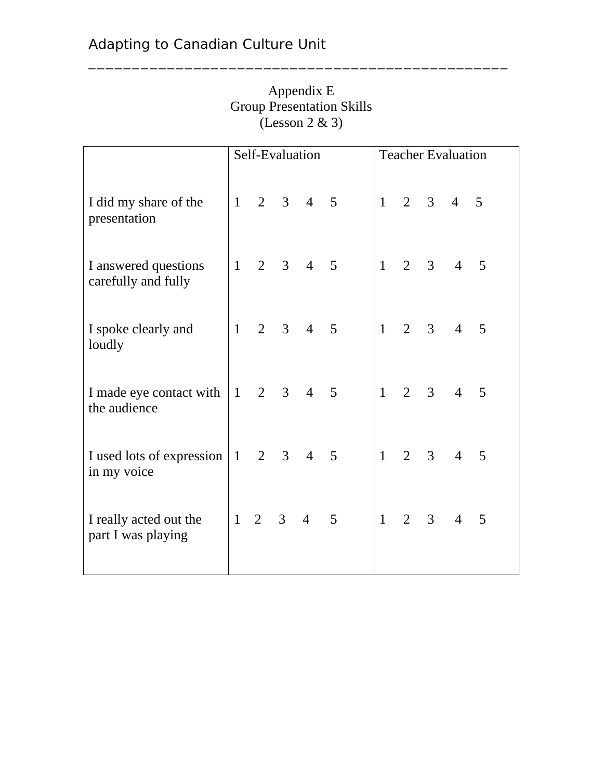|                                              | Self-Evaluation |                |                |                |   | <b>Teacher Evaluation</b> |                |                |                |   |
|----------------------------------------------|-----------------|----------------|----------------|----------------|---|---------------------------|----------------|----------------|----------------|---|
| I did my share of the<br>presentation        | $\mathbf{1}$    | $\overline{2}$ |                | $3 \quad 4$    | 5 | $\mathbf{1}$              | $\overline{2}$ | $\mathfrak{Z}$ | $\overline{4}$ | 5 |
| I answered questions<br>carefully and fully  | $\mathbf{1}$    | $\overline{2}$ | 3              | $\overline{4}$ | 5 | $\mathbf{1}$              | $\overline{2}$ | $\overline{3}$ | $\overline{4}$ | 5 |
| I spoke clearly and<br>loudly                | $\mathbf{1}$    | $\overline{2}$ | 3 <sup>1</sup> | $\overline{4}$ | 5 | $\mathbf{1}$              | $\overline{2}$ | $\overline{3}$ | $\overline{4}$ | 5 |
| I made eye contact with<br>the audience      | $\mathbf{1}$    | $\overline{2}$ | $\mathfrak{Z}$ | $\overline{4}$ | 5 | $\mathbf{1}$              | $\overline{2}$ | $\overline{3}$ | $\overline{4}$ | 5 |
| I used lots of expression<br>in my voice     | $\mathbf{1}$    | $\overline{2}$ | $\mathfrak{Z}$ | $\overline{4}$ | 5 | $\mathbf{1}$              | $\overline{2}$ | $\overline{3}$ | $\overline{4}$ | 5 |
| I really acted out the<br>part I was playing | $\mathbf{1}$    | $\overline{2}$ | 3              | $\overline{4}$ | 5 | $\mathbf{1}$              | $\overline{2}$ | $\overline{3}$ | $\overline{4}$ | 5 |

Appendix E Group Presentation Skills (Lesson 2 & 3)

\_\_\_\_\_\_\_\_\_\_\_\_\_\_\_\_\_\_\_\_\_\_\_\_\_\_\_\_\_\_\_\_\_\_\_\_\_\_\_\_\_\_\_\_\_\_\_\_